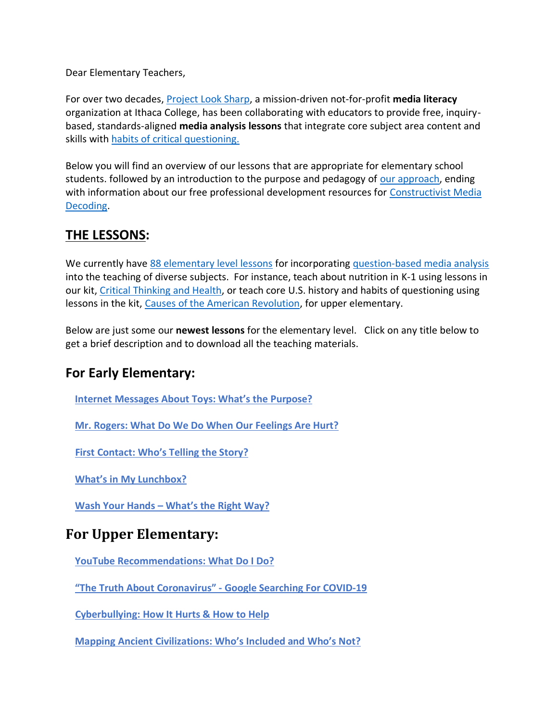Dear Elementary Teachers,

For over two decades, [Project Look Sharp,](https://www.projectlooksharp.org/) a mission-driven not-for-profit **media literacy** organization at Ithaca College, has been collaborating with educators to provide free, inquirybased, standards-aligned **media analysis lessons** that integrate core subject area content and skills with [habits of critical questioning.](https://projectlooksharp.org/Resources%202/Key-Questions-for-Decoding%20Dec-21.pdf)

Below you will find an overview of our lessons that are appropriate for elementary school students. followed by an introduction to the purpose and pedagogy of [our approach,](https://projectlooksharp.org/our-approach.php) ending with information about our free professional development resources for [Constructivist Media](https://projectlooksharp.org/our-approach.php#Constructivist)  [Decoding.](https://projectlooksharp.org/our-approach.php#Constructivist)

### **THE LESSONS:**

We currently have [88 elementary level lessons](https://projectlooksharp.org/search-result.php?limit=10&search%5Bkeyword%5D=&search%5Bcategory%5D=lessons&search_filter%5Bresource_grade_level%5D%5B%5D=lower+elementary&search_filter%5Bresource_grade_level%5D%5B%5D=upper+elementary) for incorporating [question-based media analysis](https://projectlooksharp.org/our-approach.php#Constructivist) into the teaching of diverse subjects. For instance, teach about nutrition in K-1 using lessons in our kit, [Critical Thinking and Health,](https://projectlooksharp.org/front_end.php?kit_id=15) or teach core U.S. history and habits of questioning using lessons in the kit, [Causes of the American Revolution,](https://projectlooksharp.org/front_end.php?kit_id=4) for upper elementary.

Below are just some our **newest lessons** for the elementary level. Click on any title below to get a brief description and to download all the teaching materials.

#### **For Early Elementary:**

 **Internet [Messages](https://www.projectlooksharp.org/front_end_resource.php?resource_id=533) About Toys: What's the Purpose?** 

 **Mr. Rogers: What Do We Do When Our [Feelings](https://www.projectlooksharp.org/front_end_resource.php?resource_id=555) Are Hurt?** 

 **First [Contact:](https://www.projectlooksharp.org/front_end_resource.php?resource_id=494) Who's Telling the Story?** 

 **What's in My [Lunchbox?](https://www.projectlooksharp.org/front_end_resource.php?resource_id=487)** 

 **Wash Your Hands – [What's](https://www.projectlooksharp.org/front_end_resource.php?resource_id=502) the Right Way?** 

# **For Upper Elementary:**

 **YouTube [Recommendations:](https://www.projectlooksharp.org/front_end_resource.php?resource_id=486) What Do I Do?** 

 **"The Truth About [Coronavirus"](https://www.projectlooksharp.org/front_end_resource.php?resource_id=504) - Google Searching For COVID-19** 

 **[Cyberbullying:](https://projectlooksharp.org/front_end_resource.php?resource_id=515) How It Hurts & How to Help** 

 **Mapping Ancient [Civilizations:](https://projectlooksharp.org/front_end_resource.php?resource_id=562) Who's Included and Who's Not?**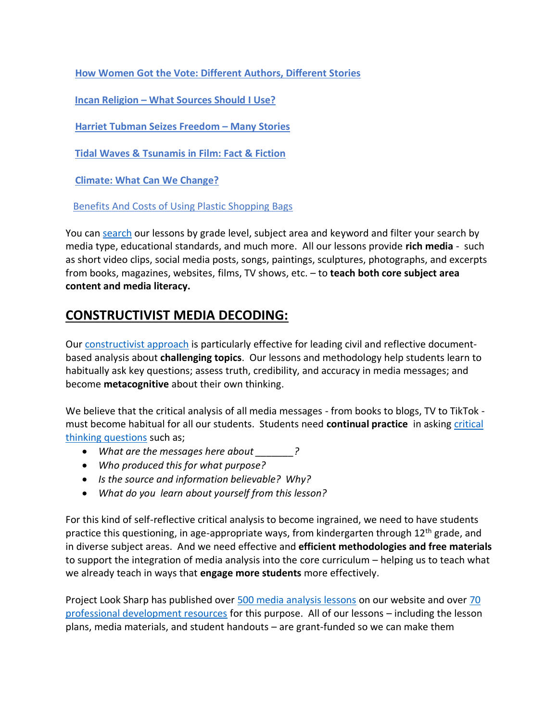**How Women Got the Vote: [Different](https://projectlooksharp.org/front_end_resource.php?resource_id=513) Authors, Different Stories** 

 **Incan [Religion](https://projectlooksharp.org/front_end_resource.php?resource_id=558) – What Sources Should I Use?** 

 **Harriet Tubman Seizes [Freedom](https://projectlooksharp.org/front_end_resource.php?resource_id=500) – Many Stories** 

 **Tidal Waves & [Tsunamis](https://projectlooksharp.org/front_end_resource.php?resource_id=432) in Film: Fact & Fiction** 

 **Climate: What Can We [Change?](https://projectlooksharp.org/front_end_resource.php?resource_id=479)** 

Benefits And Costs of Using Plastic [Shopping](https://projectlooksharp.org/front_end_resource.php?resource_id=408) Bags

You can [search](https://projectlooksharp.org/search-result.php?search%5Bcategory%5D=all&search%5Bkeyword%5D=&search_filter%5Bresource_subject_area%5D%5B%5D=&search_filter%5Bresource_grade_level%5D%5B%5D=) our lessons by grade level, subject area and keyword and filter your search by media type, educational standards, and much more. All our lessons provide **rich media** - such as short video clips, social media posts, songs, paintings, sculptures, photographs, and excerpts from books, magazines, websites, films, TV shows, etc. – to **teach both core subject area content and media literacy.**

#### **CONSTRUCTIVIST MEDIA DECODING:**

Our [constructivist approach](https://projectlooksharp.org/our-approach.php) is particularly effective for leading civil and reflective documentbased analysis about **challenging topics**. Our lessons and methodology help students learn to habitually ask key questions; assess truth, credibility, and accuracy in media messages; and become **metacognitive** about their own thinking.

We believe that the critical analysis of all media messages - from books to blogs, TV to TikTok must become habitual for all our students. Students need **continual practice** in asking [critical](https://projectlooksharp.org/Resources%202/Project%20Look%20Sharp%20Key%20Questions%20Both.pdf)  [thinking questions](https://projectlooksharp.org/Resources%202/Project%20Look%20Sharp%20Key%20Questions%20Both.pdf) such as;

- *What are the messages here about \_\_\_\_\_\_\_?*
- *Who produced this for what purpose?*
- *Is the source and information believable? Why?*
- *What do you learn about yourself from this lesson?*

For this kind of self-reflective critical analysis to become ingrained, we need to have students practice this questioning, in age-appropriate ways, from kindergarten through  $12<sup>th</sup>$  grade, and in diverse subject areas. And we need effective and **efficient methodologies and free materials** to support the integration of media analysis into the core curriculum – helping us to teach what we already teach in ways that **engage more students** more effectively.

Project Look Sharp has published over [500 media analysis lessons](https://www.projectlooksharp.org/search-result.php?search%5Bkeyword%5D=&search%5Bcategory%5D=lessons) on our website and over 70 [professional development resources](https://www.projectlooksharp.org/search-result.php?search%5Bkeyword%5D=&search%5Bcategory%5D=PD) for this purpose. All of our lessons – including the lesson plans, media materials, and student handouts – are grant-funded so we can make them